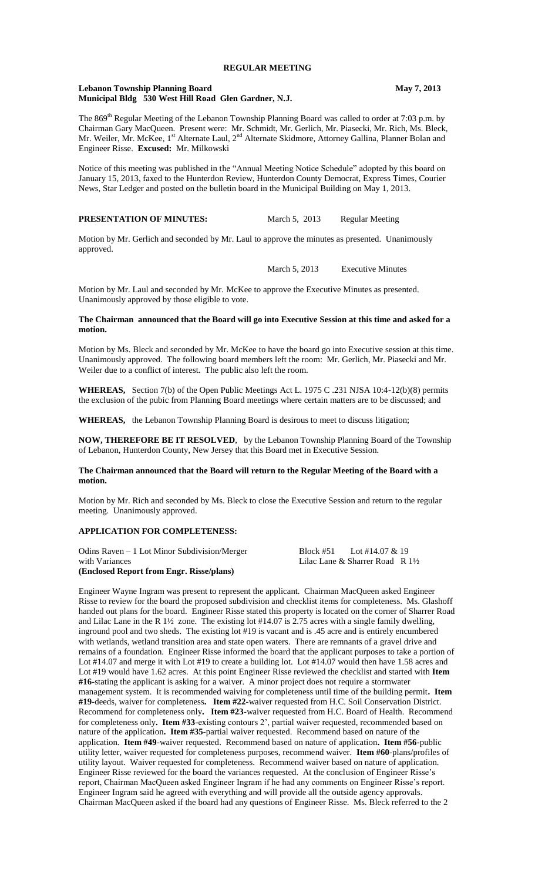#### **Lebanon Township Planning Board May 7, 2013 Municipal Bldg 530 West Hill Road Glen Gardner, N.J.**

The 869<sup>th</sup> Regular Meeting of the Lebanon Township Planning Board was called to order at 7:03 p.m. by Chairman Gary MacQueen. Present were: Mr. Schmidt, Mr. Gerlich, Mr. Piasecki, Mr. Rich, Ms. Bleck, Mr. Weiler, Mr. McKee, 1<sup>st</sup> Alternate Laul, 2<sup>nd</sup> Alternate Skidmore, Attorney Gallina, Planner Bolan and Engineer Risse. **Excused:** Mr. Milkowski

Notice of this meeting was published in the "Annual Meeting Notice Schedule" adopted by this board on January 15, 2013, faxed to the Hunterdon Review, Hunterdon County Democrat, Express Times, Courier News, Star Ledger and posted on the bulletin board in the Municipal Building on May 1, 2013.

# **PRESENTATION OF MINUTES:** March 5, 2013 Regular Meeting

Motion by Mr. Gerlich and seconded by Mr. Laul to approve the minutes as presented. Unanimously approved.

March 5, 2013 Executive Minutes

Motion by Mr. Laul and seconded by Mr. McKee to approve the Executive Minutes as presented. Unanimously approved by those eligible to vote.

### **The Chairman announced that the Board will go into Executive Session at this time and asked for a motion.**

Motion by Ms. Bleck and seconded by Mr. McKee to have the board go into Executive session at this time. Unanimously approved. The following board members left the room: Mr. Gerlich, Mr. Piasecki and Mr. Weiler due to a conflict of interest. The public also left the room.

**WHEREAS,** Section 7(b) of the Open Public Meetings Act L. 1975 C .231 NJSA 10:4-12(b)(8) permits the exclusion of the pubic from Planning Board meetings where certain matters are to be discussed; and

**WHEREAS,** the Lebanon Township Planning Board is desirous to meet to discuss litigation;

**NOW, THEREFORE BE IT RESOLVED**, by the Lebanon Township Planning Board of the Township of Lebanon, Hunterdon County, New Jersey that this Board met in Executive Session.

### **The Chairman announced that the Board will return to the Regular Meeting of the Board with a motion.**

Motion by Mr. Rich and seconded by Ms. Bleck to close the Executive Session and return to the regular meeting. Unanimously approved.

### **APPLICATION FOR COMPLETENESS:**

| Odins Raven $-1$ Lot Minor Subdivision/Merger | Block #51 | Lot #14.07 & 19                            |  |
|-----------------------------------------------|-----------|--------------------------------------------|--|
| with Variances                                |           | Lilac Lane & Sharrer Road R $1\frac{1}{2}$ |  |
| (Enclosed Report from Engr. Risse/plans)      |           |                                            |  |

Engineer Wayne Ingram was present to represent the applicant. Chairman MacQueen asked Engineer Risse to review for the board the proposed subdivision and checklist items for completeness. Ms. Glashoff handed out plans for the board. Engineer Risse stated this property is located on the corner of Sharrer Road and Lilac Lane in the R 1½ zone. The existing lot #14.07 is 2.75 acres with a single family dwelling, inground pool and two sheds. The existing lot #19 is vacant and is .45 acre and is entirely encumbered with wetlands, wetland transition area and state open waters. There are remnants of a gravel drive and remains of a foundation. Engineer Risse informed the board that the applicant purposes to take a portion of Lot #14.07 and merge it with Lot #19 to create a building lot. Lot #14.07 would then have 1.58 acres and Lot #19 would have 1.62 acres. At this point Engineer Risse reviewed the checklist and started with **Item #16-**stating the applicant is asking for a waiver. A minor project does not require a stormwater management system. It is recommended waiving for completeness until time of the building permit**. Item #19-**deeds, waiver for completeness**. Item #22-**waiver requested from H.C. Soil Conservation District. Recommend for completeness only**. Item #23-**waiver requested from H.C. Board of Health. Recommend for completeness only**. Item #33-**existing contours 2', partial waiver requested, recommended based on nature of the application**. Item #35**-partial waiver requested. Recommend based on nature of the application. **Item #49**-waiver requested. Recommend based on nature of application**. Item #56-**public utility letter, waiver requested for completeness purposes, recommend waiver. **Item #60**-plans/profiles of utility layout. Waiver requested for completeness. Recommend waiver based on nature of application. Engineer Risse reviewed for the board the variances requested. At the conclusion of Engineer Risse's report, Chairman MacQueen asked Engineer Ingram if he had any comments on Engineer Risse's report. Engineer Ingram said he agreed with everything and will provide all the outside agency approvals. Chairman MacQueen asked if the board had any questions of Engineer Risse. Ms. Bleck referred to the 2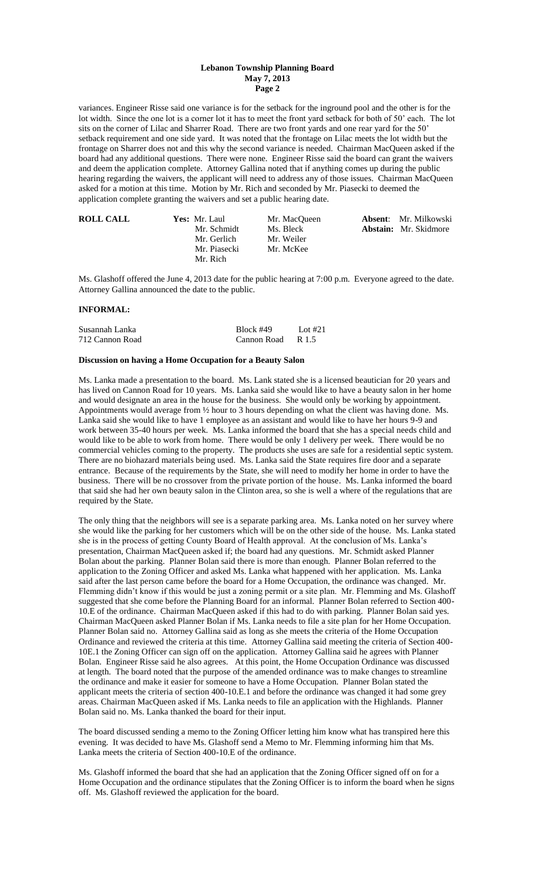variances. Engineer Risse said one variance is for the setback for the inground pool and the other is for the lot width. Since the one lot is a corner lot it has to meet the front yard setback for both of 50' each. The lot sits on the corner of Lilac and Sharrer Road. There are two front yards and one rear yard for the 50' setback requirement and one side yard. It was noted that the frontage on Lilac meets the lot width but the frontage on Sharrer does not and this why the second variance is needed. Chairman MacQueen asked if the board had any additional questions. There were none. Engineer Risse said the board can grant the waivers and deem the application complete. Attorney Gallina noted that if anything comes up during the public hearing regarding the waivers, the applicant will need to address any of those issues. Chairman MacQueen asked for a motion at this time. Motion by Mr. Rich and seconded by Mr. Piasecki to deemed the application complete granting the waivers and set a public hearing date.

| <b>ROLL CALL</b> | Yes: Mr. Laul | Mr. MacOueen | <b>Absent:</b> Mr. Milkowski |
|------------------|---------------|--------------|------------------------------|
|                  | Mr. Schmidt   | Ms. Bleck    | <b>Abstain:</b> Mr. Skidmore |
|                  | Mr. Gerlich   | Mr. Weiler   |                              |
|                  | Mr. Piasecki  | Mr. McKee    |                              |
|                  | Mr. Rich      |              |                              |

Ms. Glashoff offered the June 4, 2013 date for the public hearing at 7:00 p.m. Everyone agreed to the date. Attorney Gallina announced the date to the public.

## **INFORMAL:**

| Susannah Lanka  | Block #49   | Lot $#21$ |
|-----------------|-------------|-----------|
| 712 Cannon Road | Cannon Road | R 1.5     |

### **Discussion on having a Home Occupation for a Beauty Salon**

Ms. Lanka made a presentation to the board. Ms. Lank stated she is a licensed beautician for 20 years and has lived on Cannon Road for 10 years. Ms. Lanka said she would like to have a beauty salon in her home and would designate an area in the house for the business. She would only be working by appointment. Appointments would average from ½ hour to 3 hours depending on what the client was having done. Ms. Lanka said she would like to have 1 employee as an assistant and would like to have her hours 9-9 and work between 35-40 hours per week. Ms. Lanka informed the board that she has a special needs child and would like to be able to work from home. There would be only 1 delivery per week. There would be no commercial vehicles coming to the property. The products she uses are safe for a residential septic system. There are no biohazard materials being used. Ms. Lanka said the State requires fire door and a separate entrance. Because of the requirements by the State, she will need to modify her home in order to have the business. There will be no crossover from the private portion of the house. Ms. Lanka informed the board that said she had her own beauty salon in the Clinton area, so she is well a where of the regulations that are required by the State.

The only thing that the neighbors will see is a separate parking area. Ms. Lanka noted on her survey where she would like the parking for her customers which will be on the other side of the house. Ms. Lanka stated she is in the process of getting County Board of Health approval. At the conclusion of Ms. Lanka's presentation, Chairman MacQueen asked if; the board had any questions. Mr. Schmidt asked Planner Bolan about the parking. Planner Bolan said there is more than enough. Planner Bolan referred to the application to the Zoning Officer and asked Ms. Lanka what happened with her application. Ms. Lanka said after the last person came before the board for a Home Occupation, the ordinance was changed. Mr. Flemming didn't know if this would be just a zoning permit or a site plan. Mr. Flemming and Ms. Glashoff suggested that she come before the Planning Board for an informal. Planner Bolan referred to Section 400- 10.E of the ordinance. Chairman MacQueen asked if this had to do with parking. Planner Bolan said yes. Chairman MacQueen asked Planner Bolan if Ms. Lanka needs to file a site plan for her Home Occupation. Planner Bolan said no. Attorney Gallina said as long as she meets the criteria of the Home Occupation Ordinance and reviewed the criteria at this time. Attorney Gallina said meeting the criteria of Section 400- 10E.1 the Zoning Officer can sign off on the application. Attorney Gallina said he agrees with Planner Bolan. Engineer Risse said he also agrees. At this point, the Home Occupation Ordinance was discussed at length. The board noted that the purpose of the amended ordinance was to make changes to streamline the ordinance and make it easier for someone to have a Home Occupation. Planner Bolan stated the applicant meets the criteria of section 400-10.E.1 and before the ordinance was changed it had some grey areas. Chairman MacQueen asked if Ms. Lanka needs to file an application with the Highlands. Planner Bolan said no. Ms. Lanka thanked the board for their input.

The board discussed sending a memo to the Zoning Officer letting him know what has transpired here this evening. It was decided to have Ms. Glashoff send a Memo to Mr. Flemming informing him that Ms. Lanka meets the criteria of Section 400-10.E of the ordinance.

Ms. Glashoff informed the board that she had an application that the Zoning Officer signed off on for a Home Occupation and the ordinance stipulates that the Zoning Officer is to inform the board when he signs off. Ms. Glashoff reviewed the application for the board.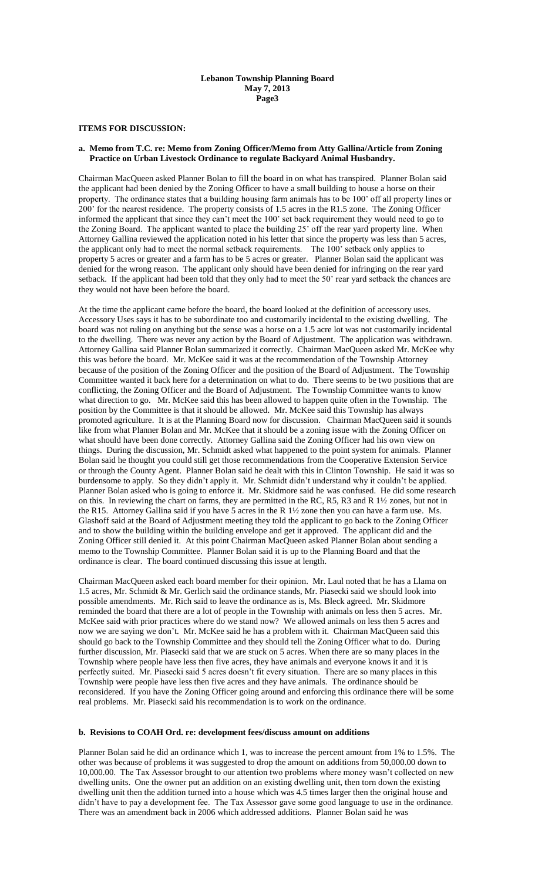### **ITEMS FOR DISCUSSION:**

### **a. Memo from T.C. re: Memo from Zoning Officer/Memo from Atty Gallina/Article from Zoning Practice on Urban Livestock Ordinance to regulate Backyard Animal Husbandry.**

Chairman MacQueen asked Planner Bolan to fill the board in on what has transpired. Planner Bolan said the applicant had been denied by the Zoning Officer to have a small building to house a horse on their property. The ordinance states that a building housing farm animals has to be 100' off all property lines or 200' for the nearest residence. The property consists of 1.5 acres in the R1.5 zone. The Zoning Officer informed the applicant that since they can't meet the 100' set back requirement they would need to go to the Zoning Board. The applicant wanted to place the building 25' off the rear yard property line. When Attorney Gallina reviewed the application noted in his letter that since the property was less than 5 acres, the applicant only had to meet the normal setback requirements. The 100' setback only applies to property 5 acres or greater and a farm has to be 5 acres or greater. Planner Bolan said the applicant was denied for the wrong reason. The applicant only should have been denied for infringing on the rear yard setback. If the applicant had been told that they only had to meet the 50' rear yard setback the chances are they would not have been before the board.

At the time the applicant came before the board, the board looked at the definition of accessory uses. Accessory Uses says it has to be subordinate too and customarily incidental to the existing dwelling. The board was not ruling on anything but the sense was a horse on a 1.5 acre lot was not customarily incidental to the dwelling. There was never any action by the Board of Adjustment. The application was withdrawn. Attorney Gallina said Planner Bolan summarized it correctly. Chairman MacQueen asked Mr. McKee why this was before the board. Mr. McKee said it was at the recommendation of the Township Attorney because of the position of the Zoning Officer and the position of the Board of Adjustment. The Township Committee wanted it back here for a determination on what to do. There seems to be two positions that are conflicting, the Zoning Officer and the Board of Adjustment. The Township Committee wants to know what direction to go. Mr. McKee said this has been allowed to happen quite often in the Township. The position by the Committee is that it should be allowed. Mr. McKee said this Township has always promoted agriculture. It is at the Planning Board now for discussion. Chairman MacQueen said it sounds like from what Planner Bolan and Mr. McKee that it should be a zoning issue with the Zoning Officer on what should have been done correctly. Attorney Gallina said the Zoning Officer had his own view on things. During the discussion, Mr. Schmidt asked what happened to the point system for animals. Planner Bolan said he thought you could still get those recommendations from the Cooperative Extension Service or through the County Agent. Planner Bolan said he dealt with this in Clinton Township. He said it was so burdensome to apply. So they didn't apply it. Mr. Schmidt didn't understand why it couldn't be applied. Planner Bolan asked who is going to enforce it. Mr. Skidmore said he was confused. He did some research on this. In reviewing the chart on farms, they are permitted in the RC, R5, R3 and R 1½ zones, but not in the R15. Attorney Gallina said if you have 5 acres in the R 1½ zone then you can have a farm use. Ms. Glashoff said at the Board of Adjustment meeting they told the applicant to go back to the Zoning Officer and to show the building within the building envelope and get it approved. The applicant did and the Zoning Officer still denied it. At this point Chairman MacQueen asked Planner Bolan about sending a memo to the Township Committee. Planner Bolan said it is up to the Planning Board and that the ordinance is clear. The board continued discussing this issue at length.

Chairman MacQueen asked each board member for their opinion. Mr. Laul noted that he has a Llama on 1.5 acres, Mr. Schmidt & Mr. Gerlich said the ordinance stands, Mr. Piasecki said we should look into possible amendments. Mr. Rich said to leave the ordinance as is, Ms. Bleck agreed. Mr. Skidmore reminded the board that there are a lot of people in the Township with animals on less then 5 acres. Mr. McKee said with prior practices where do we stand now? We allowed animals on less then 5 acres and now we are saying we don't. Mr. McKee said he has a problem with it. Chairman MacQueen said this should go back to the Township Committee and they should tell the Zoning Officer what to do. During further discussion, Mr. Piasecki said that we are stuck on 5 acres. When there are so many places in the Township where people have less then five acres, they have animals and everyone knows it and it is perfectly suited. Mr. Piasecki said 5 acres doesn't fit every situation. There are so many places in this Township were people have less then five acres and they have animals. The ordinance should be reconsidered. If you have the Zoning Officer going around and enforcing this ordinance there will be some real problems. Mr. Piasecki said his recommendation is to work on the ordinance.

### **b. Revisions to COAH Ord. re: development fees/discuss amount on additions**

Planner Bolan said he did an ordinance which 1, was to increase the percent amount from 1% to 1.5%. The other was because of problems it was suggested to drop the amount on additions from 50,000.00 down to 10,000.00. The Tax Assessor brought to our attention two problems where money wasn't collected on new dwelling units. One the owner put an addition on an existing dwelling unit, then torn down the existing dwelling unit then the addition turned into a house which was 4.5 times larger then the original house and didn't have to pay a development fee. The Tax Assessor gave some good language to use in the ordinance. There was an amendment back in 2006 which addressed additions. Planner Bolan said he was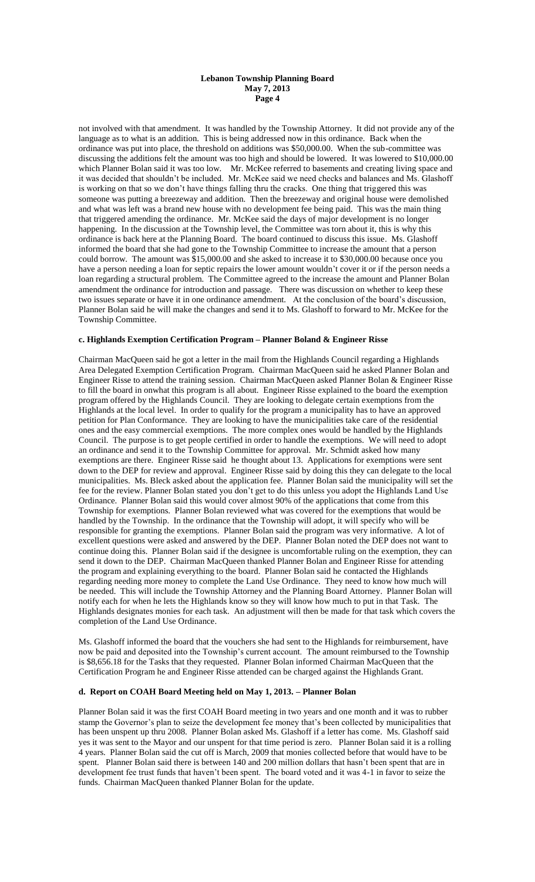not involved with that amendment. It was handled by the Township Attorney. It did not provide any of the language as to what is an addition. This is being addressed now in this ordinance. Back when the ordinance was put into place, the threshold on additions was \$50,000.00. When the sub-committee was discussing the additions felt the amount was too high and should be lowered. It was lowered to \$10,000.00 which Planner Bolan said it was too low. Mr. McKee referred to basements and creating living space and it was decided that shouldn't be included. Mr. McKee said we need checks and balances and Ms. Glashoff is working on that so we don't have things falling thru the cracks. One thing that triggered this was someone was putting a breezeway and addition. Then the breezeway and original house were demolished and what was left was a brand new house with no development fee being paid. This was the main thing that triggered amending the ordinance. Mr. McKee said the days of major development is no longer happening. In the discussion at the Township level, the Committee was torn about it, this is why this ordinance is back here at the Planning Board. The board continued to discuss this issue. Ms. Glashoff informed the board that she had gone to the Township Committee to increase the amount that a person could borrow. The amount was \$15,000.00 and she asked to increase it to \$30,000.00 because once you have a person needing a loan for septic repairs the lower amount wouldn't cover it or if the person needs a loan regarding a structural problem. The Committee agreed to the increase the amount and Planner Bolan amendment the ordinance for introduction and passage. There was discussion on whether to keep these two issues separate or have it in one ordinance amendment. At the conclusion of the board's discussion, Planner Bolan said he will make the changes and send it to Ms. Glashoff to forward to Mr. McKee for the Township Committee.

### **c. Highlands Exemption Certification Program – Planner Boland & Engineer Risse**

Chairman MacQueen said he got a letter in the mail from the Highlands Council regarding a Highlands Area Delegated Exemption Certification Program. Chairman MacQueen said he asked Planner Bolan and Engineer Risse to attend the training session. Chairman MacQueen asked Planner Bolan & Engineer Risse to fill the board in onwhat this program is all about. Engineer Risse explained to the board the exemption program offered by the Highlands Council. They are looking to delegate certain exemptions from the Highlands at the local level. In order to qualify for the program a municipality has to have an approved petition for Plan Conformance. They are looking to have the municipalities take care of the residential ones and the easy commercial exemptions. The more complex ones would be handled by the Highlands Council. The purpose is to get people certified in order to handle the exemptions. We will need to adopt an ordinance and send it to the Township Committee for approval. Mr. Schmidt asked how many exemptions are there. Engineer Risse said he thought about 13. Applications for exemptions were sent down to the DEP for review and approval. Engineer Risse said by doing this they can delegate to the local municipalities. Ms. Bleck asked about the application fee. Planner Bolan said the municipality will set the fee for the review. Planner Bolan stated you don't get to do this unless you adopt the Highlands Land Use Ordinance. Planner Bolan said this would cover almost 90% of the applications that come from this Township for exemptions. Planner Bolan reviewed what was covered for the exemptions that would be handled by the Township. In the ordinance that the Township will adopt, it will specify who will be responsible for granting the exemptions. Planner Bolan said the program was very informative. A lot of excellent questions were asked and answered by the DEP. Planner Bolan noted the DEP does not want to continue doing this. Planner Bolan said if the designee is uncomfortable ruling on the exemption, they can send it down to the DEP. Chairman MacQueen thanked Planner Bolan and Engineer Risse for attending the program and explaining everything to the board. Planner Bolan said he contacted the Highlands regarding needing more money to complete the Land Use Ordinance. They need to know how much will be needed. This will include the Township Attorney and the Planning Board Attorney. Planner Bolan will notify each for when he lets the Highlands know so they will know how much to put in that Task. The Highlands designates monies for each task. An adjustment will then be made for that task which covers the completion of the Land Use Ordinance.

Ms. Glashoff informed the board that the vouchers she had sent to the Highlands for reimbursement, have now be paid and deposited into the Township's current account. The amount reimbursed to the Township is \$8,656.18 for the Tasks that they requested. Planner Bolan informed Chairman MacQueen that the Certification Program he and Engineer Risse attended can be charged against the Highlands Grant.

### **d. Report on COAH Board Meeting held on May 1, 2013. – Planner Bolan**

Planner Bolan said it was the first COAH Board meeting in two years and one month and it was to rubber stamp the Governor's plan to seize the development fee money that's been collected by municipalities that has been unspent up thru 2008. Planner Bolan asked Ms. Glashoff if a letter has come. Ms. Glashoff said yes it was sent to the Mayor and our unspent for that time period is zero. Planner Bolan said it is a rolling 4 years. Planner Bolan said the cut off is March, 2009 that monies collected before that would have to be spent. Planner Bolan said there is between 140 and 200 million dollars that hasn't been spent that are in development fee trust funds that haven't been spent. The board voted and it was 4-1 in favor to seize the funds. Chairman MacQueen thanked Planner Bolan for the update.